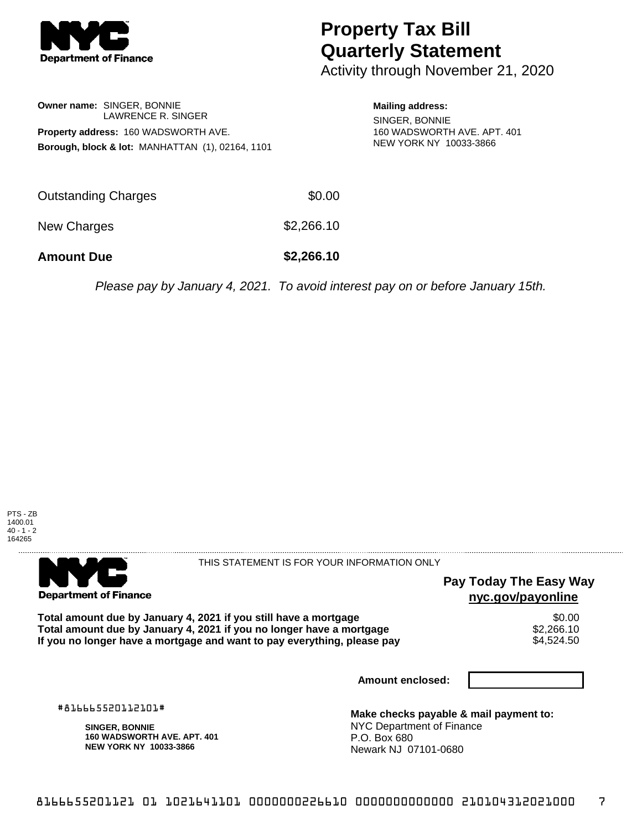

# **Property Tax Bill Quarterly Statement**

Activity through November 21, 2020

### **Owner name:** SINGER, BONNIE LAWRENCE R. SINGER **Property address:** 160 WADSWORTH AVE. **Borough, block & lot:** MANHATTAN (1), 02164, 1101

#### **Mailing address:**

SINGER, BONNIE 160 WADSWORTH AVE. APT. 401 NEW YORK NY 10033-3866

| <b>Amount Due</b>   | \$2,266.10 |
|---------------------|------------|
| New Charges         | \$2,266.10 |
| Outstanding Charges | \$0.00     |

Please pay by January 4, 2021. To avoid interest pay on or before January 15th.





#### THIS STATEMENT IS FOR YOUR INFORMATION ONLY

## **Pay Today The Easy Way nyc.gov/payonline**

Total amount due by January 4, 2021 if you still have a mortgage \$0.00<br>Total amount due by January 4, 2021 if you no longer have a mortgage \$2.266.10 **Total amount due by January 4, 2021 if you no longer have a mortgage**  $$2,266.10$ **<br>If you no longer have a mortgage and want to pay everything, please pay**  $$4.524.50$ If you no longer have a mortgage and want to pay everything, please pay

**Amount enclosed:**

#816665520112101#

**SINGER, BONNIE 160 WADSWORTH AVE. APT. 401 NEW YORK NY 10033-3866**

**Make checks payable & mail payment to:** NYC Department of Finance P.O. Box 680 Newark NJ 07101-0680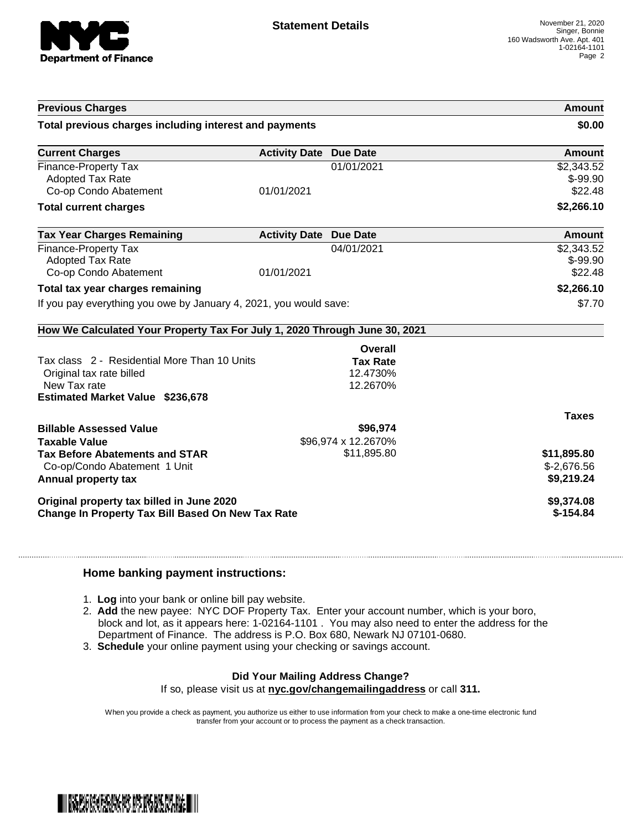

| <b>Previous Charges</b>                                                                                                             |                               |                                         | Amount                                    |
|-------------------------------------------------------------------------------------------------------------------------------------|-------------------------------|-----------------------------------------|-------------------------------------------|
| Total previous charges including interest and payments                                                                              |                               |                                         | \$0.00                                    |
| <b>Current Charges</b>                                                                                                              | <b>Activity Date Due Date</b> |                                         | Amount                                    |
| Finance-Property Tax<br><b>Adopted Tax Rate</b><br>Co-op Condo Abatement                                                            | 01/01/2021                    | 01/01/2021                              | \$2,343.52<br>$$-99.90$<br>\$22.48        |
| <b>Total current charges</b>                                                                                                        |                               |                                         | \$2,266.10                                |
| <b>Tax Year Charges Remaining</b>                                                                                                   | <b>Activity Date Due Date</b> |                                         | Amount                                    |
| Finance-Property Tax<br><b>Adopted Tax Rate</b><br>Co-op Condo Abatement                                                            | 01/01/2021                    | 04/01/2021                              | \$2,343.52<br>$$-99.90$<br>\$22.48        |
| Total tax year charges remaining                                                                                                    |                               |                                         | \$2,266.10                                |
| If you pay everything you owe by January 4, 2021, you would save:                                                                   |                               | \$7.70                                  |                                           |
| How We Calculated Your Property Tax For July 1, 2020 Through June 30, 2021                                                          |                               |                                         |                                           |
|                                                                                                                                     |                               | Overall                                 |                                           |
| Tax class 2 - Residential More Than 10 Units<br>Original tax rate billed<br>New Tax rate<br><b>Estimated Market Value \$236,678</b> |                               | <b>Tax Rate</b><br>12.4730%<br>12.2670% |                                           |
|                                                                                                                                     |                               |                                         | <b>Taxes</b>                              |
| <b>Billable Assessed Value</b><br><b>Taxable Value</b>                                                                              |                               | \$96,974<br>\$96,974 x 12.2670%         |                                           |
| <b>Tax Before Abatements and STAR</b><br>Co-op/Condo Abatement 1 Unit<br>Annual property tax                                        |                               | \$11,895.80                             | \$11,895.80<br>$$-2,676.56$<br>\$9,219.24 |
| Original property tax billed in June 2020<br><b>Change In Property Tax Bill Based On New Tax Rate</b>                               |                               |                                         | \$9,374.08<br>$$-154.84$                  |

#### **Home banking payment instructions:**

- 1. **Log** into your bank or online bill pay website.
- 2. **Add** the new payee: NYC DOF Property Tax. Enter your account number, which is your boro, block and lot, as it appears here: 1-02164-1101 . You may also need to enter the address for the Department of Finance. The address is P.O. Box 680, Newark NJ 07101-0680.
- 3. **Schedule** your online payment using your checking or savings account.

## **Did Your Mailing Address Change?**

If so, please visit us at **nyc.gov/changemailingaddress** or call **311.**

When you provide a check as payment, you authorize us either to use information from your check to make a one-time electronic fund transfer from your account or to process the payment as a check transaction.